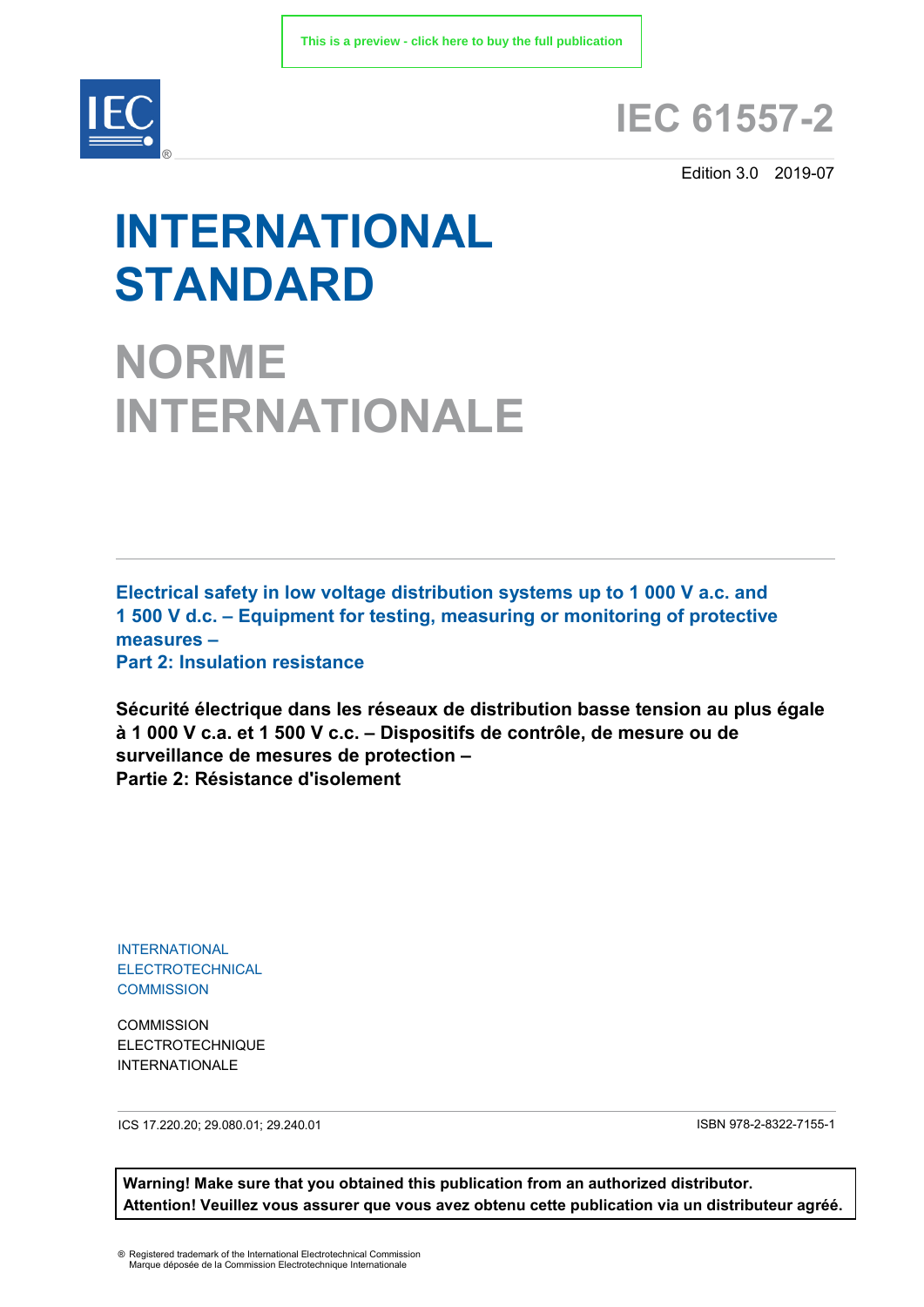

## **IEC 61557-2**

Edition 3.0 2019-07

# **INTERNATIONAL STANDARD**

**NORME INTERNATIONALE**

**Electrical safety in low voltage distribution systems up to 1 000 V a.c. and 1 500 V d.c. – Equipment for testing, measuring or monitoring of protective measures – Part 2: Insulation resistance**

**Sécurité électrique dans les réseaux de distribution basse tension au plus égale à 1 000 V c.a. et 1 500 V c.c. – Dispositifs de contrôle, de mesure ou de surveillance de mesures de protection – Partie 2: Résistance d'isolement**

INTERNATIONAL ELECTROTECHNICAL **COMMISSION** 

**COMMISSION** ELECTROTECHNIQUE INTERNATIONALE

ICS 17.220.20; 29.080.01; 29.240.01 ISBN 978-2-8322-7155-1

**Warning! Make sure that you obtained this publication from an authorized distributor. Attention! Veuillez vous assurer que vous avez obtenu cette publication via un distributeur agréé.**

® Registered trademark of the International Electrotechnical Commission Marque déposée de la Commission Electrotechnique Internationale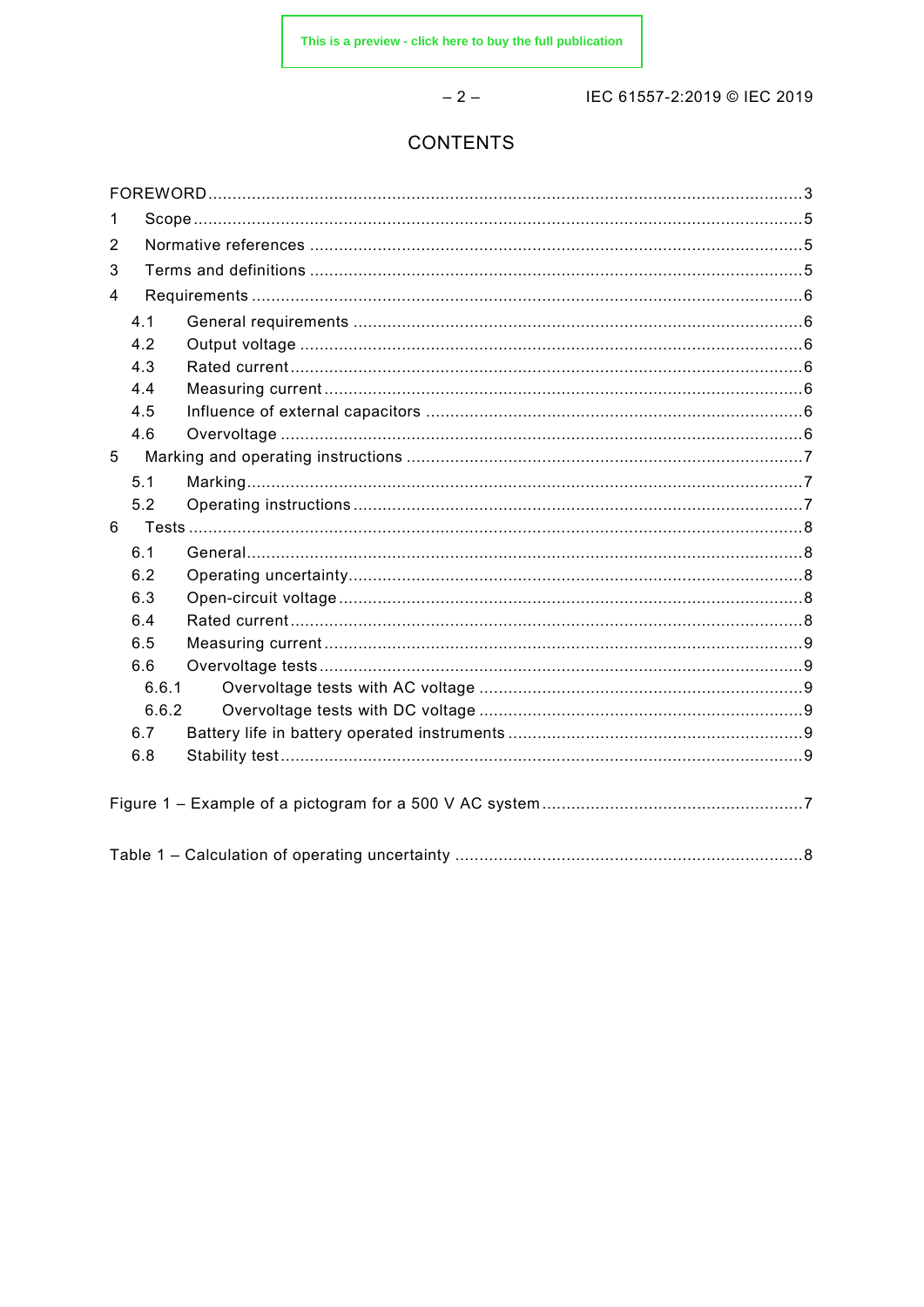$-2-$ 

IEC 61557-2:2019 © IEC 2019

### **CONTENTS**

| 1 |       |  |  |  |  |  |
|---|-------|--|--|--|--|--|
| 2 |       |  |  |  |  |  |
| 3 |       |  |  |  |  |  |
| 4 |       |  |  |  |  |  |
|   | 4.1   |  |  |  |  |  |
|   | 4.2   |  |  |  |  |  |
|   | 4.3   |  |  |  |  |  |
|   | 4.4   |  |  |  |  |  |
|   | 4.5   |  |  |  |  |  |
|   | 4.6   |  |  |  |  |  |
| 5 |       |  |  |  |  |  |
|   | 5.1   |  |  |  |  |  |
|   | 5.2   |  |  |  |  |  |
| 6 |       |  |  |  |  |  |
|   |       |  |  |  |  |  |
|   | 6.1   |  |  |  |  |  |
|   | 6.2   |  |  |  |  |  |
|   | 6.3   |  |  |  |  |  |
|   | 6.4   |  |  |  |  |  |
|   | 6.5   |  |  |  |  |  |
|   | 6.6   |  |  |  |  |  |
|   | 6.6.1 |  |  |  |  |  |
|   | 6.6.2 |  |  |  |  |  |
|   | 6.7   |  |  |  |  |  |
|   | 6.8   |  |  |  |  |  |
|   |       |  |  |  |  |  |
|   |       |  |  |  |  |  |
|   |       |  |  |  |  |  |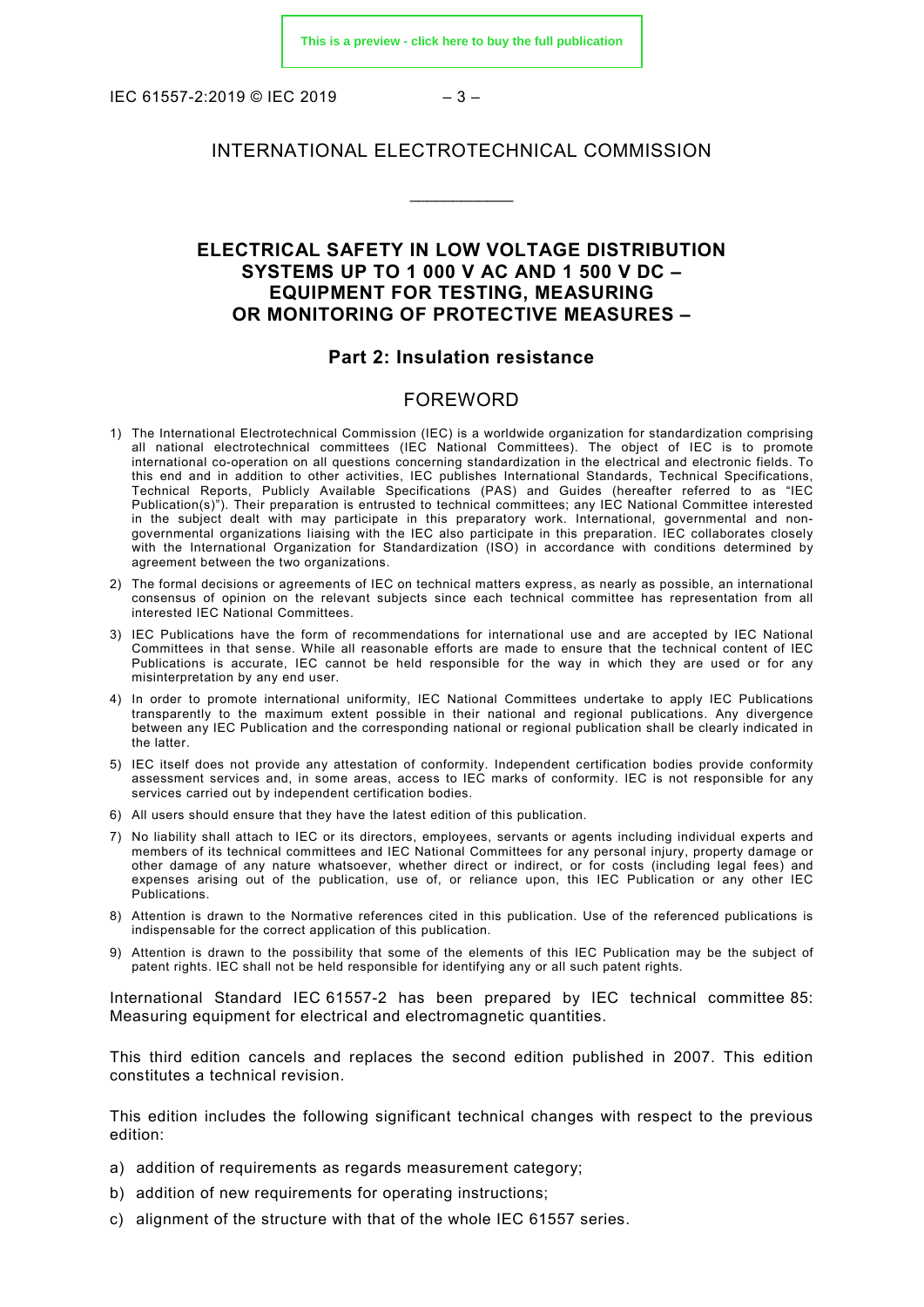IEC 61557-2:2019 © IEC 2019  $-3-$ 

#### INTERNATIONAL ELECTROTECHNICAL COMMISSION

\_\_\_\_\_\_\_\_\_\_\_\_

#### **ELECTRICAL SAFETY IN LOW VOLTAGE DISTRIBUTION SYSTEMS UP TO 1 000 V AC AND 1 500 V DC – EQUIPMENT FOR TESTING, MEASURING OR MONITORING OF PROTECTIVE MEASURES –**

#### **Part 2: Insulation resistance**

#### FOREWORD

- <span id="page-2-0"></span>1) The International Electrotechnical Commission (IEC) is a worldwide organization for standardization comprising all national electrotechnical committees (IEC National Committees). The object of IEC is to promote international co-operation on all questions concerning standardization in the electrical and electronic fields. To this end and in addition to other activities, IEC publishes International Standards, Technical Specifications, Technical Reports, Publicly Available Specifications (PAS) and Guides (hereafter referred to as "IEC Publication(s)"). Their preparation is entrusted to technical committees; any IEC National Committee interested in the subject dealt with may participate in this preparatory work. International, governmental and nongovernmental organizations liaising with the IEC also participate in this preparation. IEC collaborates closely with the International Organization for Standardization (ISO) in accordance with conditions determined by agreement between the two organizations.
- 2) The formal decisions or agreements of IEC on technical matters express, as nearly as possible, an international consensus of opinion on the relevant subjects since each technical committee has representation from all interested IEC National Committees.
- 3) IEC Publications have the form of recommendations for international use and are accepted by IEC National Committees in that sense. While all reasonable efforts are made to ensure that the technical content of IEC Publications is accurate, IEC cannot be held responsible for the way in which they are used or for any misinterpretation by any end user.
- 4) In order to promote international uniformity, IEC National Committees undertake to apply IEC Publications transparently to the maximum extent possible in their national and regional publications. Any divergence between any IEC Publication and the corresponding national or regional publication shall be clearly indicated in the latter.
- 5) IEC itself does not provide any attestation of conformity. Independent certification bodies provide conformity assessment services and, in some areas, access to IEC marks of conformity. IEC is not responsible for any services carried out by independent certification bodies.
- 6) All users should ensure that they have the latest edition of this publication.
- 7) No liability shall attach to IEC or its directors, employees, servants or agents including individual experts and members of its technical committees and IEC National Committees for any personal injury, property damage or other damage of any nature whatsoever, whether direct or indirect, or for costs (including legal fees) and expenses arising out of the publication, use of, or reliance upon, this IEC Publication or any other IEC Publications.
- 8) Attention is drawn to the Normative references cited in this publication. Use of the referenced publications is indispensable for the correct application of this publication.
- 9) Attention is drawn to the possibility that some of the elements of this IEC Publication may be the subject of patent rights. IEC shall not be held responsible for identifying any or all such patent rights.

International Standard IEC 61557-2 has been prepared by IEC technical committee 85: Measuring equipment for electrical and electromagnetic quantities.

This third edition cancels and replaces the second edition published in 2007. This edition constitutes a technical revision.

This edition includes the following significant technical changes with respect to the previous edition:

- a) addition of requirements as regards measurement category;
- b) addition of new requirements for operating instructions;
- c) alignment of the structure with that of the whole IEC 61557 series.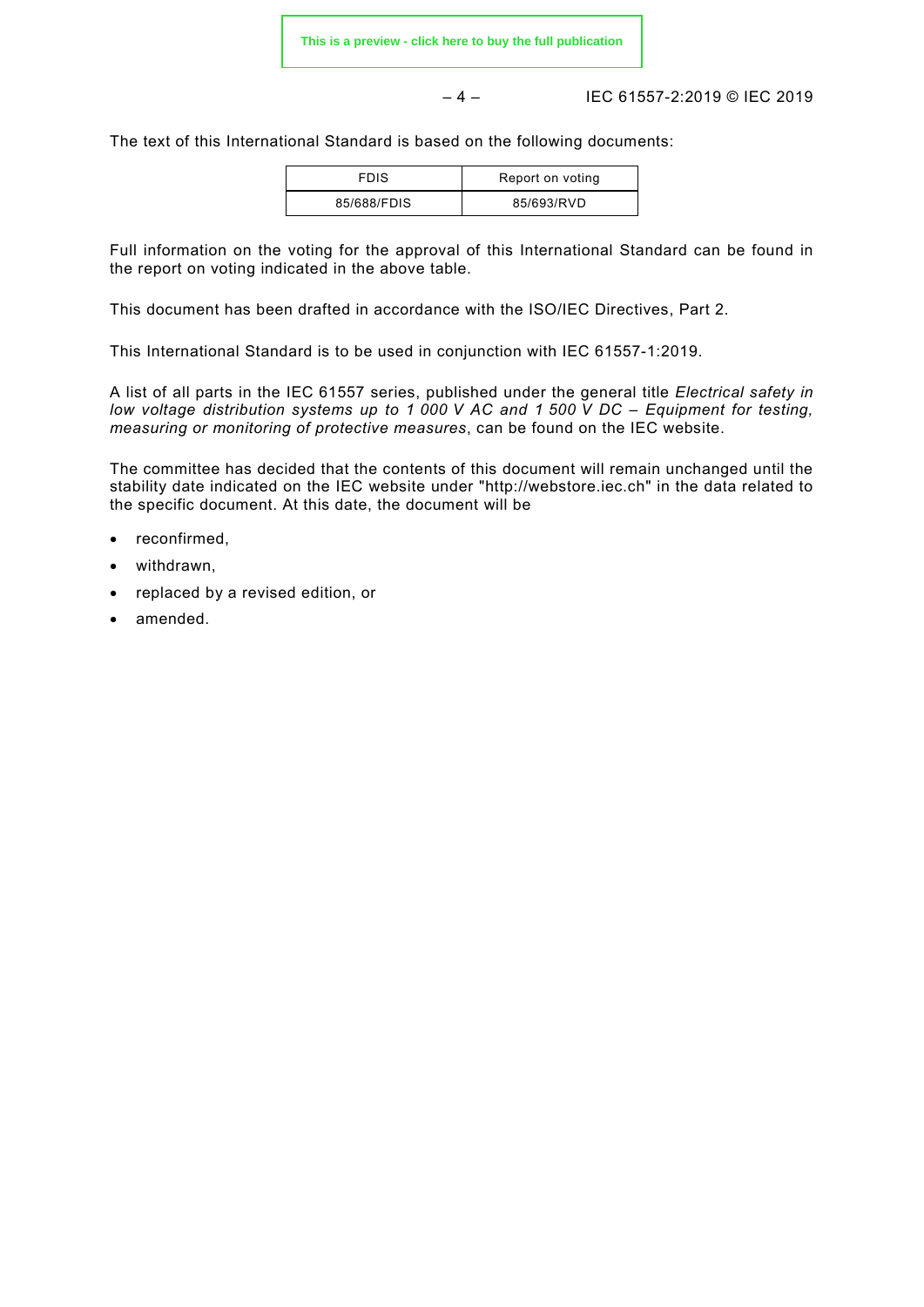– 4 – IEC 61557-2:2019 © IEC 2019

The text of this International Standard is based on the following documents:

| <b>FDIS</b> | Report on voting |
|-------------|------------------|
| 85/688/FDIS | 85/693/RVD       |

Full information on the voting for the approval of this International Standard can be found in the report on voting indicated in the above table.

This document has been drafted in accordance with the ISO/IEC Directives, Part 2.

This International Standard is to be used in conjunction with IEC 61557-1:2019.

A list of all parts in the IEC 61557 series, published under the general title *Electrical safety in low voltage distribution systems up to 1 000 V AC and 1 500 V DC – Equipment for testing, measuring or monitoring of protective measures*, can be found on the IEC website.

The committee has decided that the contents of this document will remain unchanged until the stability date indicated on the IEC website under ["http://webstore.iec.ch"](http://webstore.iec.ch/) in the data related to the specific document. At this date, the document will be

- reconfirmed,
- withdrawn,
- replaced by a revised edition, or
- amended.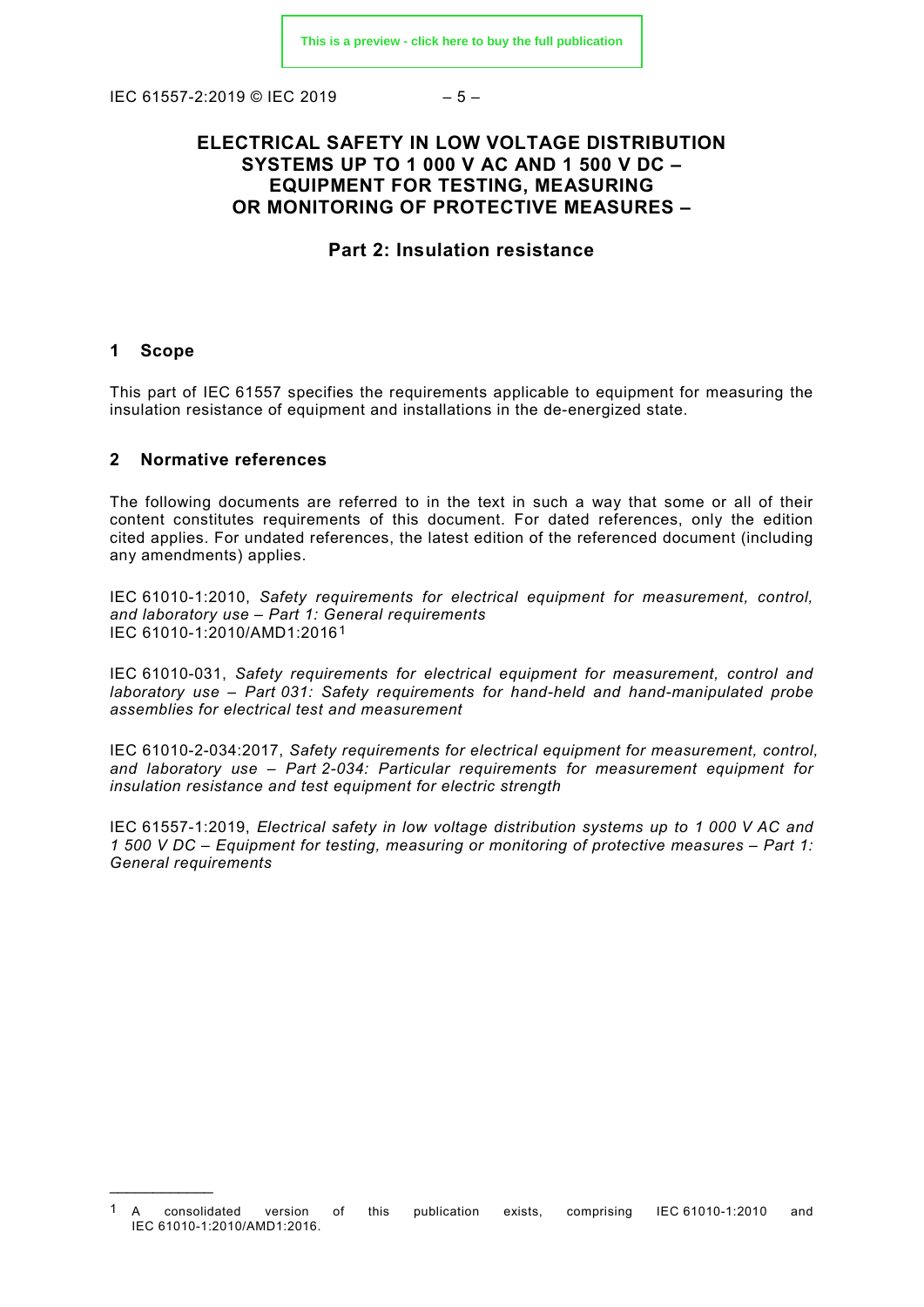IEC 61557-2:2019 © IEC 2019  $-5-$ 

#### **ELECTRICAL SAFETY IN LOW VOLTAGE DISTRIBUTION SYSTEMS UP TO 1 000 V AC AND 1 500 V DC – EQUIPMENT FOR TESTING, MEASURING OR MONITORING OF PROTECTIVE MEASURES –**

#### **Part 2: Insulation resistance**

#### <span id="page-4-0"></span>**1 Scope**

\_\_\_\_\_\_\_\_\_\_\_\_

This part of IEC 61557 specifies the requirements applicable to equipment for measuring the insulation resistance of equipment and installations in the de-energized state.

#### <span id="page-4-1"></span>**2 Normative references**

The following documents are referred to in the text in such a way that some or all of their content constitutes requirements of this document. For dated references, only the edition cited applies. For undated references, the latest edition of the referenced document (including any amendments) applies.

IEC 61010-1:2010, *Safety requirements for electrical equipment for measurement, control, and laboratory use – Part 1: General requirements* IEC 61010-1:2010/AMD1:2016[1](#page-4-3)

IEC 61010-031, *Safety requirements for electrical equipment for measurement, control and laboratory use – Part 031: Safety requirements for hand-held and hand-manipulated probe assemblies for electrical test and measurement* 

IEC 61010-2-034:2017, *Safety requirements for electrical equipment for measurement, control, and laboratory use – Part 2-034: Particular requirements for measurement equipment for insulation resistance and test equipment for electric strength* 

<span id="page-4-2"></span>IEC 61557-1:2019, *Electrical safety in low voltage distribution systems up to 1 000 V AC and 1 500 V DC – Equipment for testing, measuring or monitoring of protective measures – Part 1: General requirements*

<span id="page-4-3"></span><sup>1</sup> A consolidated version of this publication exists, comprising IEC 61010-1:2010 and IEC 61010-1:2010/AMD1:2016.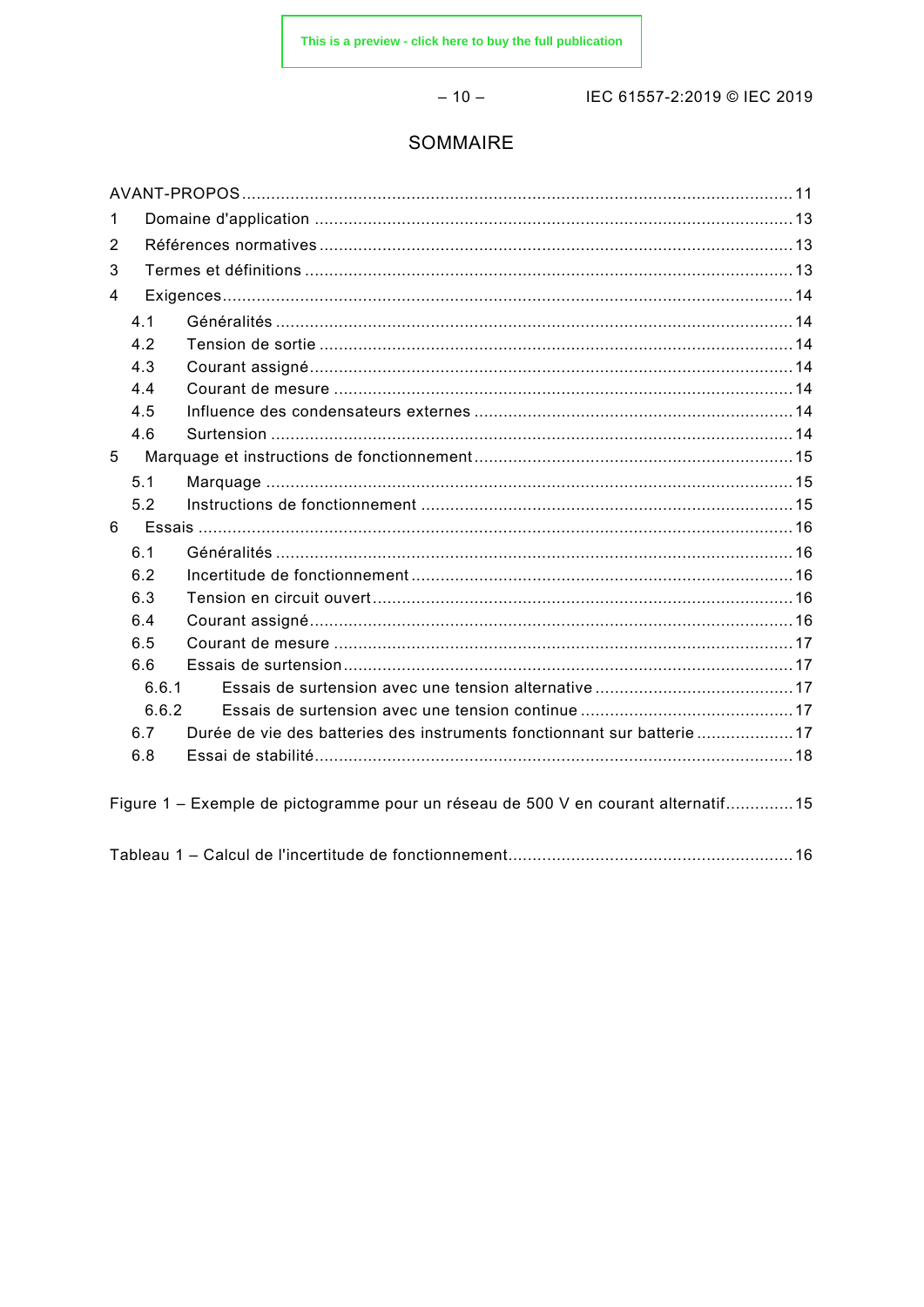$-10-$ 

IEC 61557-2:2019 © IEC 2019

### SOMMAIRE

| 1 |       |                                                                                   |  |  |  |
|---|-------|-----------------------------------------------------------------------------------|--|--|--|
| 2 |       |                                                                                   |  |  |  |
| 3 |       |                                                                                   |  |  |  |
| 4 |       |                                                                                   |  |  |  |
|   | 4.1   |                                                                                   |  |  |  |
|   | 4.2   |                                                                                   |  |  |  |
|   | 4.3   |                                                                                   |  |  |  |
|   | 4.4   |                                                                                   |  |  |  |
|   | 4.5   |                                                                                   |  |  |  |
|   | 4.6   |                                                                                   |  |  |  |
| 5 |       |                                                                                   |  |  |  |
|   | 5.1   |                                                                                   |  |  |  |
|   | 5.2   |                                                                                   |  |  |  |
| 6 |       |                                                                                   |  |  |  |
|   | 6.1   |                                                                                   |  |  |  |
|   | 6.2   |                                                                                   |  |  |  |
|   | 6.3   |                                                                                   |  |  |  |
|   | 6.4   |                                                                                   |  |  |  |
|   | 6.5   |                                                                                   |  |  |  |
|   | 6.6   |                                                                                   |  |  |  |
|   | 6.6.1 |                                                                                   |  |  |  |
|   | 6.6.2 |                                                                                   |  |  |  |
|   | 6.7   | Durée de vie des batteries des instruments fonctionnant sur batterie 17           |  |  |  |
|   | 6.8   |                                                                                   |  |  |  |
|   |       | Figure 1 - Exemple de pictogramme pour un réseau de 500 V en courant alternatif15 |  |  |  |
|   |       |                                                                                   |  |  |  |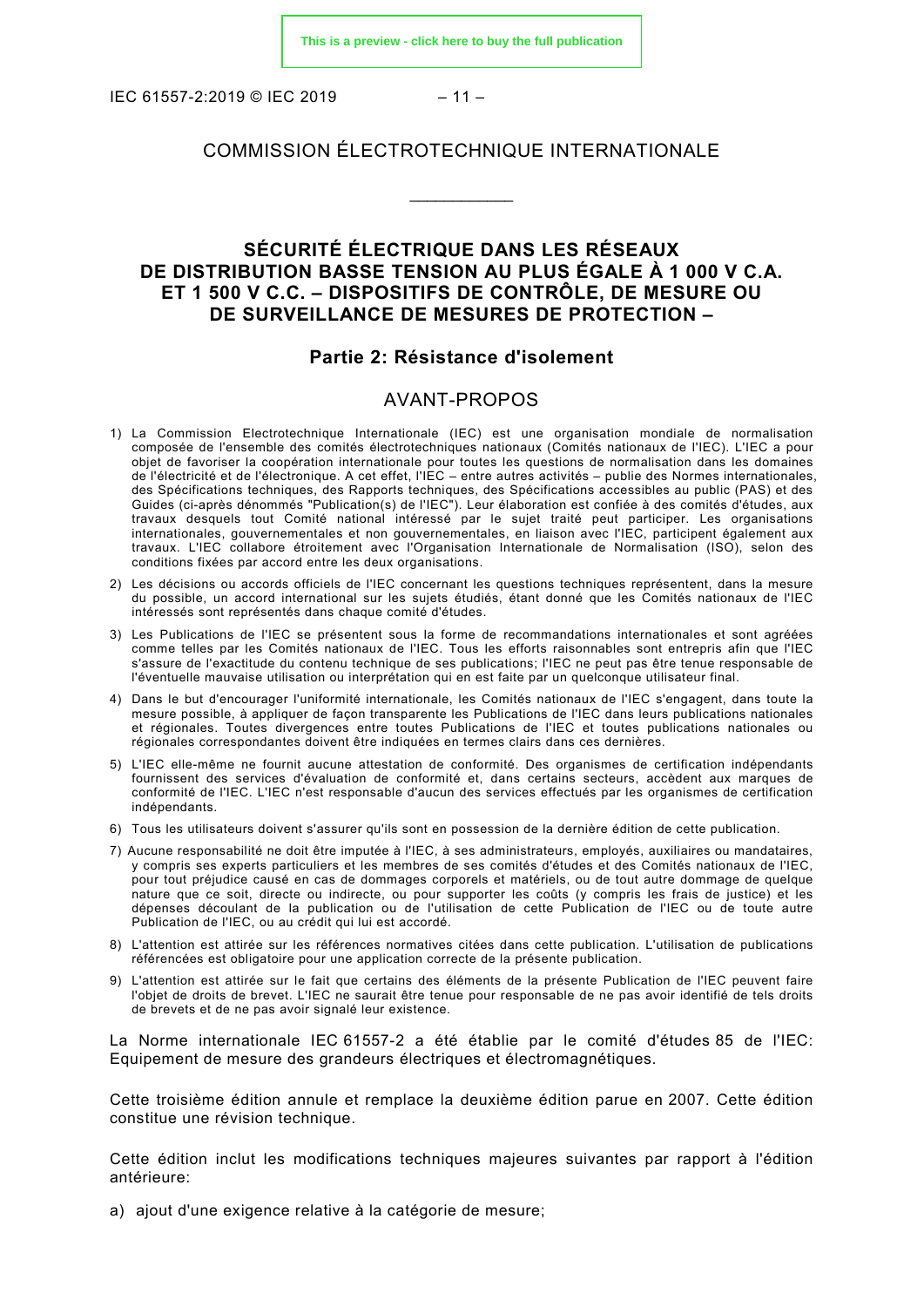IEC 61557-2:2019 © IEC 2019 – 11 –

#### COMMISSION ÉLECTROTECHNIQUE INTERNATIONALE

\_\_\_\_\_\_\_\_\_\_\_\_

#### **SÉCURITÉ ÉLECTRIQUE DANS LES RÉSEAUX DE DISTRIBUTION BASSE TENSION AU PLUS ÉGALE À 1 000 V C.A. ET 1 500 V C.C. – DISPOSITIFS DE CONTRÔLE, DE MESURE OU DE SURVEILLANCE DE MESURES DE PROTECTION –**

#### **Partie 2: Résistance d'isolement**

#### AVANT-PROPOS

- <span id="page-6-0"></span>1) La Commission Electrotechnique Internationale (IEC) est une organisation mondiale de normalisation composée de l'ensemble des comités électrotechniques nationaux (Comités nationaux de l'IEC). L'IEC a pour objet de favoriser la coopération internationale pour toutes les questions de normalisation dans les domaines de l'électricité et de l'électronique. A cet effet, l'IEC – entre autres activités – publie des Normes internationales, des Spécifications techniques, des Rapports techniques, des Spécifications accessibles au public (PAS) et des Guides (ci-après dénommés "Publication(s) de l'IEC"). Leur élaboration est confiée à des comités d'études, aux travaux desquels tout Comité national intéressé par le sujet traité peut participer. Les organisations internationales, gouvernementales et non gouvernementales, en liaison avec l'IEC, participent également aux travaux. L'IEC collabore étroitement avec l'Organisation Internationale de Normalisation (ISO), selon des conditions fixées par accord entre les deux organisations.
- 2) Les décisions ou accords officiels de l'IEC concernant les questions techniques représentent, dans la mesure du possible, un accord international sur les sujets étudiés, étant donné que les Comités nationaux de l'IEC intéressés sont représentés dans chaque comité d'études.
- 3) Les Publications de l'IEC se présentent sous la forme de recommandations internationales et sont agréées comme telles par les Comités nationaux de l'IEC. Tous les efforts raisonnables sont entrepris afin que l'IEC s'assure de l'exactitude du contenu technique de ses publications; l'IEC ne peut pas être tenue responsable de l'éventuelle mauvaise utilisation ou interprétation qui en est faite par un quelconque utilisateur final.
- 4) Dans le but d'encourager l'uniformité internationale, les Comités nationaux de l'IEC s'engagent, dans toute la mesure possible, à appliquer de façon transparente les Publications de l'IEC dans leurs publications nationales et régionales. Toutes divergences entre toutes Publications de l'IEC et toutes publications nationales ou régionales correspondantes doivent être indiquées en termes clairs dans ces dernières.
- 5) L'IEC elle-même ne fournit aucune attestation de conformité. Des organismes de certification indépendants fournissent des services d'évaluation de conformité et, dans certains secteurs, accèdent aux marques de conformité de l'IEC. L'IEC n'est responsable d'aucun des services effectués par les organismes de certification indépendants.
- 6) Tous les utilisateurs doivent s'assurer qu'ils sont en possession de la dernière édition de cette publication.
- 7) Aucune responsabilité ne doit être imputée à l'IEC, à ses administrateurs, employés, auxiliaires ou mandataires, y compris ses experts particuliers et les membres de ses comités d'études et des Comités nationaux de l'IEC, pour tout préjudice causé en cas de dommages corporels et matériels, ou de tout autre dommage de quelque nature que ce soit, directe ou indirecte, ou pour supporter les coûts (y compris les frais de justice) et les dépenses découlant de la publication ou de l'utilisation de cette Publication de l'IEC ou de toute autre Publication de l'IEC, ou au crédit qui lui est accordé.
- 8) L'attention est attirée sur les références normatives citées dans cette publication. L'utilisation de publications référencées est obligatoire pour une application correcte de la présente publication.
- 9) L'attention est attirée sur le fait que certains des éléments de la présente Publication de l'IEC peuvent faire l'objet de droits de brevet. L'IEC ne saurait être tenue pour responsable de ne pas avoir identifié de tels droits de brevets et de ne pas avoir signalé leur existence.

La Norme internationale IEC 61557-2 a été établie par le comité d'études 85 de l'IEC: Equipement de mesure des grandeurs électriques et électromagnétiques.

Cette troisième édition annule et remplace la deuxième édition parue en 2007. Cette édition constitue une révision technique.

Cette édition inclut les modifications techniques majeures suivantes par rapport à l'édition antérieure:

a) ajout d'une exigence relative à la catégorie de mesure;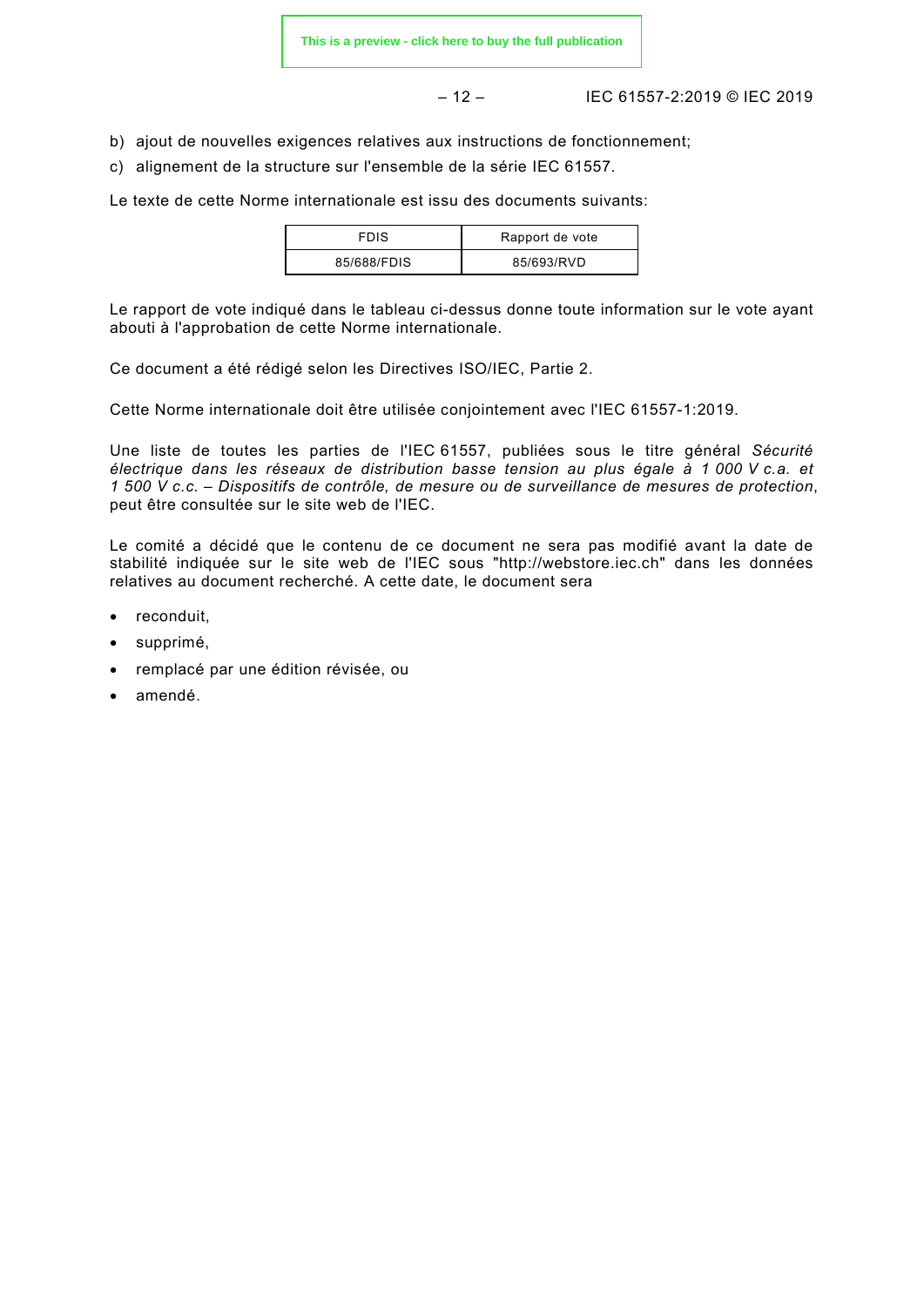– 12 – IEC 61557-2:2019 © IEC 2019

- b) ajout de nouvelles exigences relatives aux instructions de fonctionnement;
- c) alignement de la structure sur l'ensemble de la série IEC 61557.

Le texte de cette Norme internationale est issu des documents suivants:

| <b>FDIS</b> | Rapport de vote |
|-------------|-----------------|
| 85/688/FDIS | 85/693/RVD      |

Le rapport de vote indiqué dans le tableau ci-dessus donne toute information sur le vote ayant abouti à l'approbation de cette Norme internationale.

Ce document a été rédigé selon les Directives ISO/IEC, Partie 2.

Cette Norme internationale doit être utilisée conjointement avec l'IEC 61557-1:2019.

Une liste de toutes les parties de l'IEC 61557, publiées sous le titre général *Sécurité électrique dans les réseaux de distribution basse tension au plus égale à 1 000 V c.a. et 1 500 V c.c. – Dispositifs de contrôle, de mesure ou de surveillance de mesures de protection*, peut être consultée sur le site web de l'IEC.

Le comité a décidé que le contenu de ce document ne sera pas modifié avant la date de stabilité indiquée sur le site web de l'IEC sous ["http://webstore.iec.ch"](http://webstore.iec.ch/) dans les données relatives au document recherché. A cette date, le document sera

- reconduit,
- supprimé,
- remplacé par une édition révisée, ou
- amendé.